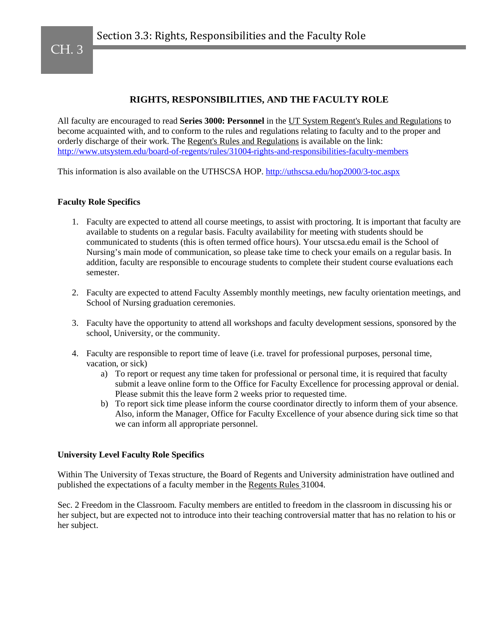## **RIGHTS, RESPONSIBILITIES, AND THE FACULTY ROLE**

All faculty are encouraged to read **Series 3000: Personnel** in the UT System Regent's Rules and Regulations to become acquainted with, and to conform to the rules and regulations relating to faculty and to the proper and orderly discharge of their work. The Regent's Rules and Regulations is available on the link: <http://www.utsystem.edu/board-of-regents/rules/31004-rights-and-responsibilities-faculty-members>

This information is also available on the UTHSCSA HOP.<http://uthscsa.edu/hop2000/3-toc.aspx>

## **Faculty Role Specifics**

- 1. Faculty are expected to attend all course meetings, to assist with proctoring. It is important that faculty are available to students on a regular basis. Faculty availability for meeting with students should be communicated to students (this is often termed office hours). Your utscsa.edu email is the School of Nursing's main mode of communication, so please take time to check your emails on a regular basis. In addition, faculty are responsible to encourage students to complete their student course evaluations each semester.
- 2. Faculty are expected to attend Faculty Assembly monthly meetings, new faculty orientation meetings, and School of Nursing graduation ceremonies.
- 3. Faculty have the opportunity to attend all workshops and faculty development sessions, sponsored by the school, University, or the community.
- 4. Faculty are responsible to report time of leave (i.e. travel for professional purposes, personal time, vacation, or sick)
	- a) To report or request any time taken for professional or personal time, it is required that faculty submit a leave online form to the Office for Faculty Excellence for processing approval or denial. Please submit this the leave form 2 weeks prior to requested time.
	- b) To report sick time please inform the course coordinator directly to inform them of your absence. Also, inform the Manager, Office for Faculty Excellence of your absence during sick time so that we can inform all appropriate personnel.

## **University Level Faculty Role Specifics**

Within The University of Texas structure, the Board of Regents and University administration have outlined and published the expectations of a faculty member in the Regents Rules 31004.

Sec. 2 Freedom in the Classroom. Faculty members are entitled to freedom in the classroom in discussing his or her subject, but are expected not to introduce into their teaching controversial matter that has no relation to his or her subject.